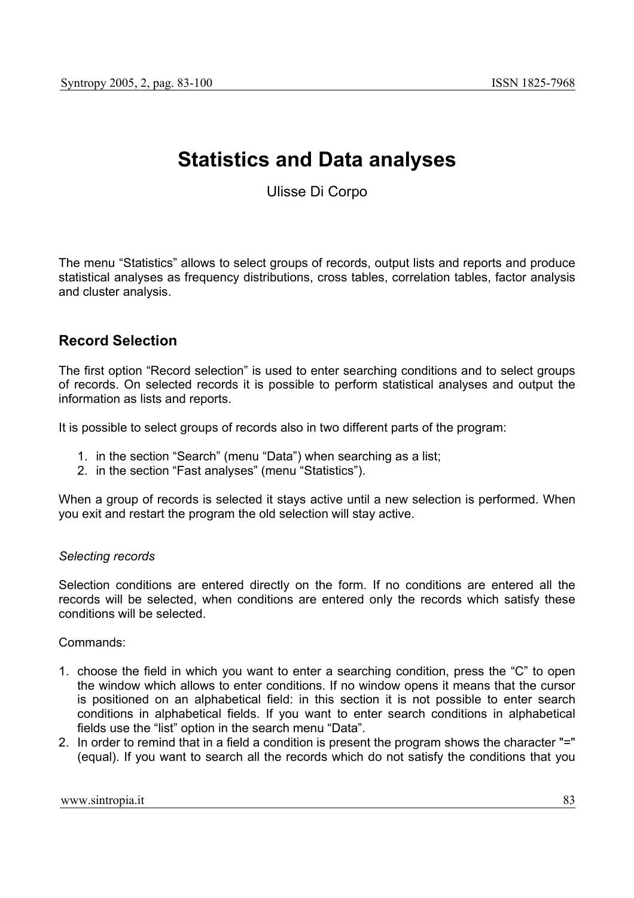# **Statistics and Data analyses**

Ulisse Di Corpo

The menu "Statistics" allows to select groups of records, output lists and reports and produce statistical analyses as frequency distributions, cross tables, correlation tables, factor analysis and cluster analysis.

## **Record Selection**

The first option "Record selection" is used to enter searching conditions and to select groups of records. On selected records it is possible to perform statistical analyses and output the information as lists and reports.

It is possible to select groups of records also in two different parts of the program:

- 1. in the section "Search" (menu "Data") when searching as a list;
- 2. in the section "Fast analyses" (menu "Statistics").

When a group of records is selected it stays active until a new selection is performed. When you exit and restart the program the old selection will stay active.

### *Selecting records*

Selection conditions are entered directly on the form. If no conditions are entered all the records will be selected, when conditions are entered only the records which satisfy these conditions will be selected.

Commands:

- 1. choose the field in which you want to enter a searching condition, press the "C" to open the window which allows to enter conditions. If no window opens it means that the cursor is positioned on an alphabetical field: in this section it is not possible to enter search conditions in alphabetical fields. If you want to enter search conditions in alphabetical fields use the "list" option in the search menu "Data".
- 2. In order to remind that in a field a condition is present the program shows the character "=" (equal). If you want to search all the records which do not satisfy the conditions that you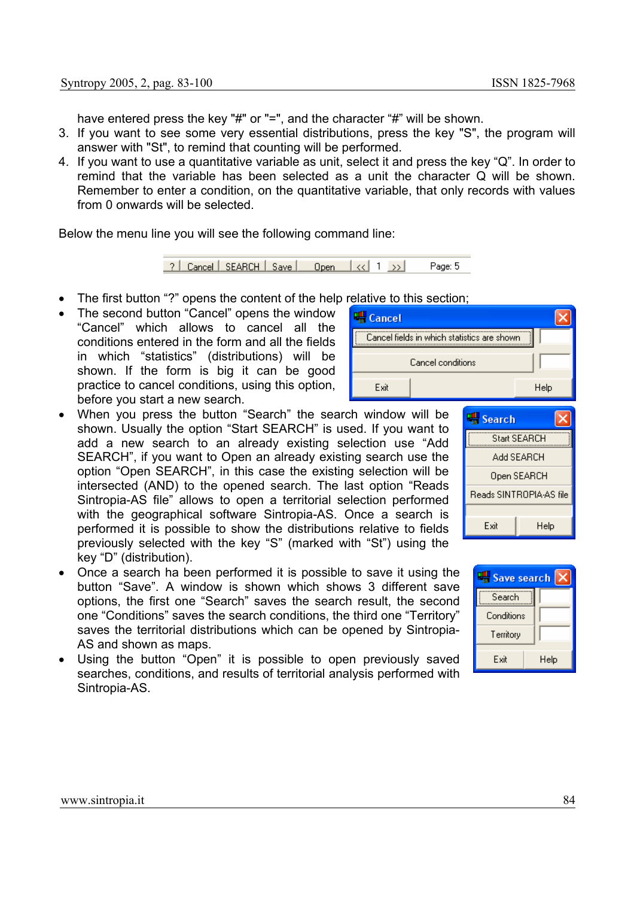have entered press the key "#" or "=", and the character "#" will be shown.

- 3. If you want to see some very essential distributions, press the key "S", the program will answer with "St", to remind that counting will be performed.
- 4. If you want to use a quantitative variable as unit, select it and press the key "Q". In order to remind that the variable has been selected as a unit the character Q will be shown. Remember to enter a condition, on the quantitative variable, that only records with values from 0 onwards will be selected.

Below the menu line you will see the following command line:



- The first button "?" opens the content of the help relative to this section;
- The second button "Cancel" opens the window "Cancel" which allows to cancel all the conditions entered in the form and all the fields in which "statistics" (distributions) will be shown. If the form is big it can be good practice to cancel conditions, using this option, before you start a new search.
- When you press the button "Search" the search window will be shown. Usually the option "Start SEARCH" is used. If you want to add a new search to an already existing selection use "Add SEARCH", if you want to Open an already existing search use the option "Open SEARCH", in this case the existing selection will be intersected (AND) to the opened search. The last option "Reads Sintropia-AS file" allows to open a territorial selection performed with the geographical software Sintropia-AS. Once a search is performed it is possible to show the distributions relative to fields previously selected with the key "S" (marked with "St") using the key "D" (distribution).
- Once a search ha been performed it is possible to save it using the button "Save". A window is shown which shows 3 different save options, the first one "Search" saves the search result, the second one "Conditions" saves the search conditions, the third one "Territory" saves the territorial distributions which can be opened by Sintropia-AS and shown as maps.
- Using the button "Open" it is possible to open previously saved searches, conditions, and results of territorial analysis performed with Sintropia-AS.





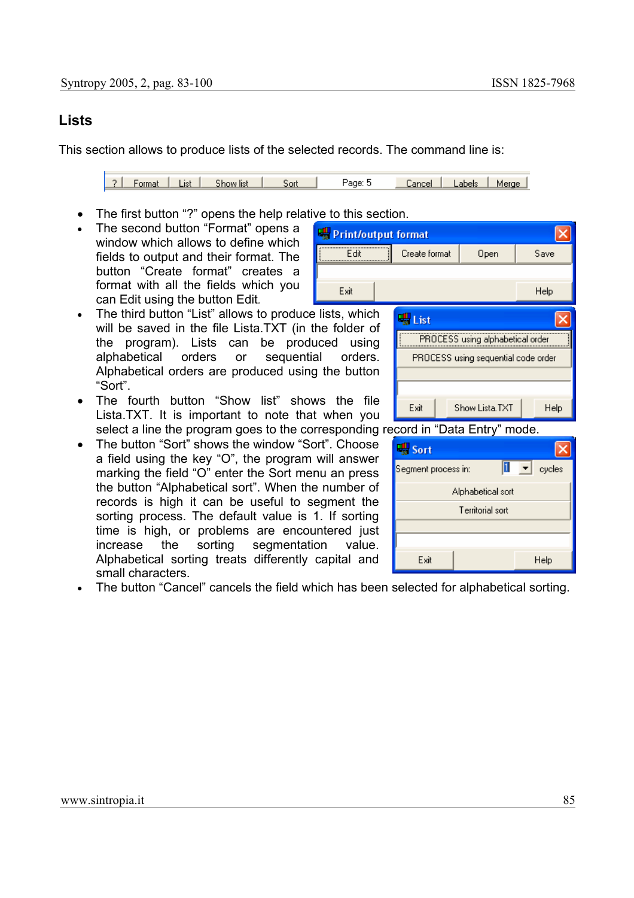## **Lists**

This section allows to produce lists of the selected records. The command line is:

2 | Format | List | Show list | Sort Page: 5 Cancel | Labels | Merge |

Exit

- The first button "?" opens the help relative to this section.
- The second button "Format" opens a window which allows to define which fields to output and their format. The button "Create format" creates a format with all the fields which you can Edit using the button Edit*.*
- The third button "List" allows to produce lists, which will be saved in the file Lista.TXT (in the folder of the program). Lists can be produced using alphabetical orders or sequential orders. Alphabetical orders are produced using the button "Sort".
- The fourth button "Show list" shows the file Lista.TXT. It is important to note that when you select a line the program goes to the corresponding record in "Data Entry" mode.
- The button "Sort" shows the window "Sort". Choose a field using the key "O", the program will answer marking the field "O" enter the Sort menu an press the button "Alphabetical sort". When the number of records is high it can be useful to segment the sorting process. The default value is 1. If sorting time is high, or problems are encountered just increase the sorting segmentation value. Alphabetical sorting treats differently capital and small characters.





• The button "Cancel" cancels the field which has been selected for alphabetical sorting.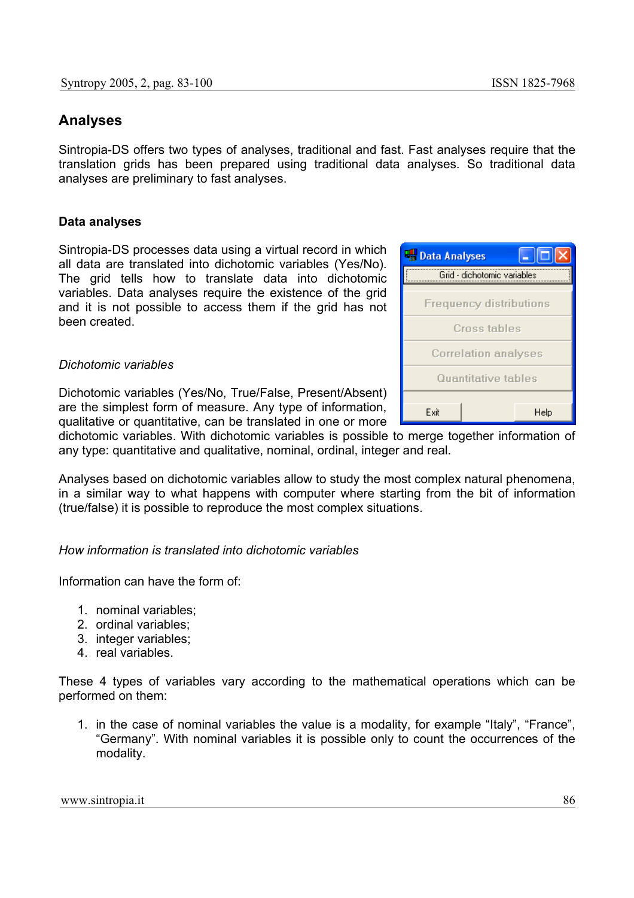### **Analyses**

Sintropia-DS offers two types of analyses, traditional and fast. Fast analyses require that the translation grids has been prepared using traditional data analyses. So traditional data analyses are preliminary to fast analyses.

#### **Data analyses**

Sintropia-DS processes data using a virtual record in which all data are translated into dichotomic variables (Yes/No). The grid tells how to translate data into dichotomic variables. Data analyses require the existence of the grid and it is not possible to access them if the grid has not been created.

#### *Dichotomic variables*

Dichotomic variables (Yes/No, True/False, Present/Absent) are the simplest form of measure. Any type of information, qualitative or quantitative, can be translated in one or more

dichotomic variables. With dichotomic variables is possible to merge together information of any type: quantitative and qualitative, nominal, ordinal, integer and real.

Analyses based on dichotomic variables allow to study the most complex natural phenomena, in a similar way to what happens with computer where starting from the bit of information (true/false) it is possible to reproduce the most complex situations.

### *How information is translated into dichotomic variables*

Information can have the form of:

- 1. nominal variables;
- 2. ordinal variables;
- 3. integer variables;
- 4. real variables.

These 4 types of variables vary according to the mathematical operations which can be performed on them:

1. in the case of nominal variables the value is a modality, for example "Italy", "France", "Germany". With nominal variables it is possible only to count the occurrences of the modality.

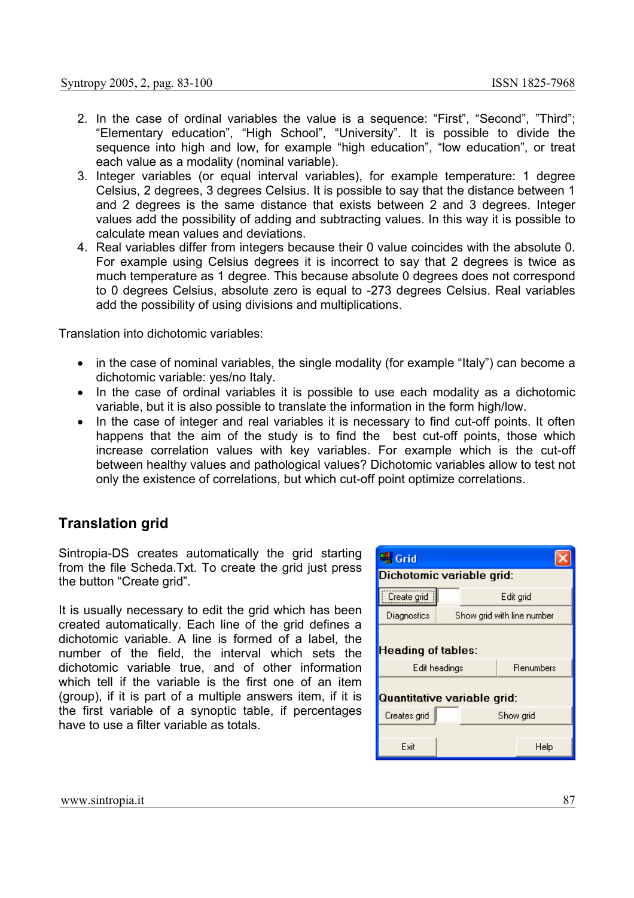- 2. In the case of ordinal variables the value is a sequence: "First", "Second", "Third"; "Elementary education", "High School", "University". It is possible to divide the sequence into high and low, for example "high education", "low education", or treat each value as a modality (nominal variable).
- 3. Integer variables (or equal interval variables), for example temperature: 1 degree Celsius, 2 degrees, 3 degrees Celsius. It is possible to say that the distance between 1 and 2 degrees is the same distance that exists between 2 and 3 degrees. Integer values add the possibility of adding and subtracting values. In this way it is possible to calculate mean values and deviations.
- 4. Real variables differ from integers because their 0 value coincides with the absolute 0. For example using Celsius degrees it is incorrect to say that 2 degrees is twice as much temperature as 1 degree. This because absolute 0 degrees does not correspond to 0 degrees Celsius, absolute zero is equal to -273 degrees Celsius. Real variables add the possibility of using divisions and multiplications.

Translation into dichotomic variables:

- in the case of nominal variables, the single modality (for example "Italy") can become a dichotomic variable: yes/no Italy.
- In the case of ordinal variables it is possible to use each modality as a dichotomic variable, but it is also possible to translate the information in the form high/low.
- In the case of integer and real variables it is necessary to find cut-off points. It often happens that the aim of the study is to find the best cut-off points, those which increase correlation values with key variables. For example which is the cut-off between healthy values and pathological values? Dichotomic variables allow to test not only the existence of correlations, but which cut-off point optimize correlations.

## **Translation grid**

Sintropia-DS creates automatically the grid starting from the file Scheda.Txt. To create the grid just press the button "Create grid".

It is usually necessary to edit the grid which has been created automatically. Each line of the grid defines a dichotomic variable. A line is formed of a label, the number of the field, the interval which sets the dichotomic variable true, and of other information which tell if the variable is the first one of an item (group), if it is part of a multiple answers item, if it is the first variable of a synoptic table, if percentages have to use a filter variable as totals.

| Grid                                                     |                                            |           |  |                            |  |
|----------------------------------------------------------|--------------------------------------------|-----------|--|----------------------------|--|
|                                                          | Dichotomic variable grid:                  |           |  |                            |  |
| Create grid                                              |                                            | Edit grid |  |                            |  |
| Diagnostics                                              |                                            |           |  | Show grid with line number |  |
|                                                          | <b>Heading of tables:</b><br>Edit headings |           |  | Renumbers                  |  |
| Quantitative variable grid:<br>Creates grid<br>Show grid |                                            |           |  |                            |  |
|                                                          |                                            |           |  |                            |  |
| Exit                                                     |                                            |           |  | Help                       |  |

www.sintropia.it 87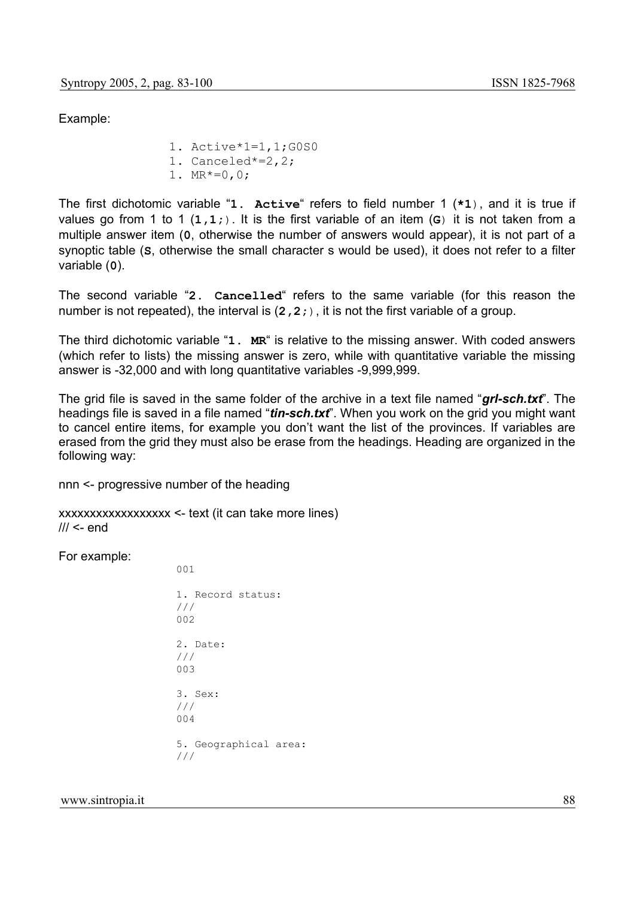Example:

1. Active\*1=1,1;G0S0 1. Canceled\*=2,2; 1.  $MR*=0, 0;$ 

The first dichotomic variable "**1. Active**" refers to field number 1 (**\*1**), and it is true if values go from 1 to 1 (**1,1;**). It is the first variable of an item (**G**) it is not taken from a multiple answer item (**0**, otherwise the number of answers would appear), it is not part of a synoptic table (**S**, otherwise the small character s would be used), it does not refer to a filter variable (**0**).

The second variable "**2. Cancelled**" refers to the same variable (for this reason the number is not repeated), the interval is (**2,2;**), it is not the first variable of a group.

The third dichotomic variable "**1. MR**" is relative to the missing answer. With coded answers (which refer to lists) the missing answer is zero, while with quantitative variable the missing answer is -32,000 and with long quantitative variables -9,999,999.

The grid file is saved in the same folder of the archive in a text file named "*grl-sch.txt*". The headings file is saved in a file named "*tin-sch.txt*". When you work on the grid you might want to cancel entire items, for example you don't want the list of the provinces. If variables are erased from the grid they must also be erase from the headings. Heading are organized in the following way:

nnn <- progressive number of the heading

xxxxxxxxxxxxxxxxxx <- text (it can take more lines)  $III <$ - end

 $001$ 

For example:

| 1. Record status:<br>111<br>002 |
|---------------------------------|
| 2. Date:<br>111<br>003          |
| 3. Sex:<br>111<br>004           |
| 5. Geographical area:<br>111    |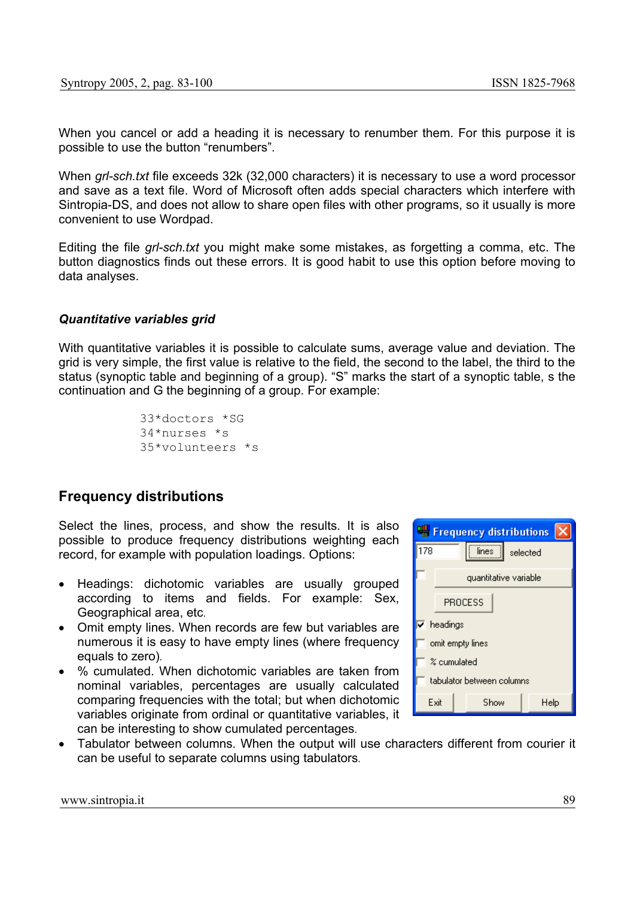When you cancel or add a heading it is necessary to renumber them. For this purpose it is possible to use the button "renumbers".

When *grl-sch.txt* file exceeds 32k (32,000 characters) it is necessary to use a word processor and save as a text file. Word of Microsoft often adds special characters which interfere with Sintropia-DS, and does not allow to share open files with other programs, so it usually is more convenient to use Wordpad.

Editing the file *grl-sch.txt* you might make some mistakes, as forgetting a comma, etc. The button diagnostics finds out these errors. It is good habit to use this option before moving to data analyses.

#### *Quantitative variables grid*

With quantitative variables it is possible to calculate sums, average value and deviation. The grid is very simple, the first value is relative to the field, the second to the label, the third to the status (synoptic table and beginning of a group). "S" marks the start of a synoptic table, s the continuation and G the beginning of a group. For example:

```
33*doctors *SG 
34*nurses *s 
35*volunteers *s
```
## **Frequency distributions**

Select the lines, process, and show the results. It is also possible to produce frequency distributions weighting each record, for example with population loadings. Options:

- Headings: dichotomic variables are usually grouped according to items and fields. For example: Sex, Geographical area, etc*.*
- Omit empty lines. When records are few but variables are numerous it is easy to have empty lines (where frequency equals to zero)*.*
- % cumulated. When dichotomic variables are taken from nominal variables, percentages are usually calculated comparing frequencies with the total; but when dichotomic variables originate from ordinal or quantitative variables, it can be interesting to show cumulated percentages*.*

|                           | <b>For</b> Frequency distributions |                       |      |  |
|---------------------------|------------------------------------|-----------------------|------|--|
| 178                       | lines -<br>selected                |                       |      |  |
|                           |                                    | quantitative variable |      |  |
|                           | PROCESS                            |                       |      |  |
|                           | $\overline{\mathsf{v}}$ headings   |                       |      |  |
|                           | omit empty lines                   |                       |      |  |
|                           | % cumulated                        |                       |      |  |
| tabulator between columns |                                    |                       |      |  |
|                           | Exit                               | Show                  | Help |  |

• Tabulator between columns. When the output will use characters different from courier it can be useful to separate columns using tabulators*.*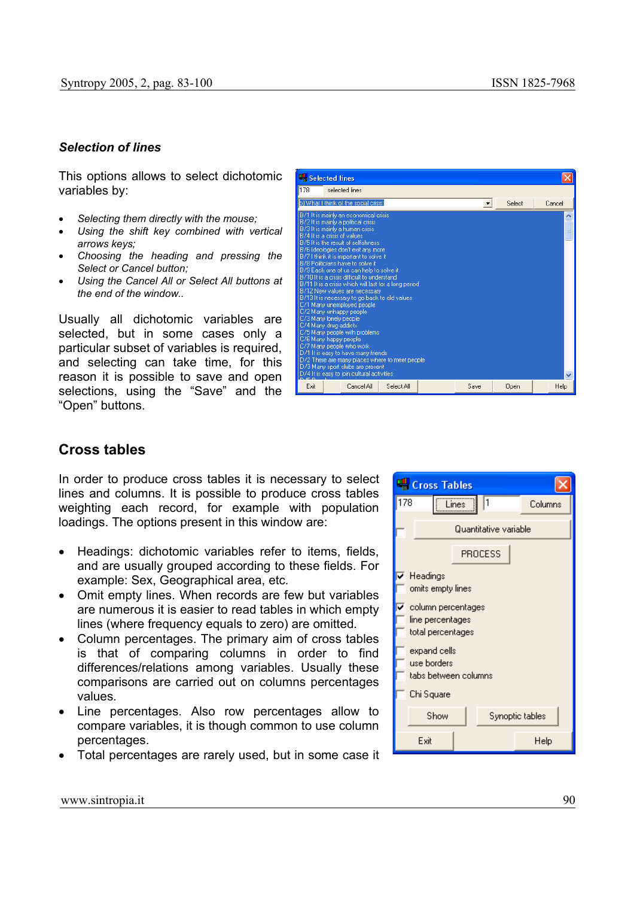#### *Selection of lines*

This options allows to select dichotomic variables by:

- *Selecting them directly with the mouse;*
- *Using the shift key combined with vertical arrows keys;*
- *Choosing the heading and pressing the Select or Cancel button;*
- *Using the Cancel All or Select All buttons at the end of the window..*

Usually all dichotomic variables are selected, but in some cases only a particular subset of variables is required, and selecting can take time, for this reason it is possible to save and open selections, using the "Save" and the "Open" buttons.



### **Cross tables**

In order to produce cross tables it is necessary to select lines and columns. It is possible to produce cross tables weighting each record, for example with population loadings. The options present in this window are:

- Headings: dichotomic variables refer to items, fields, and are usually grouped according to these fields. For example: Sex, Geographical area, etc*.*
- Omit empty lines. When records are few but variables are numerous it is easier to read tables in which empty lines (where frequency equals to zero) are omitted*.*
- Column percentages. The primary aim of cross tables is that of comparing columns in order to find differences/relations among variables. Usually these comparisons are carried out on columns percentages values*.*
- Line percentages. Also row percentages allow to compare variables, it is though common to use column percentages.
- Total percentages are rarely used, but in some case it

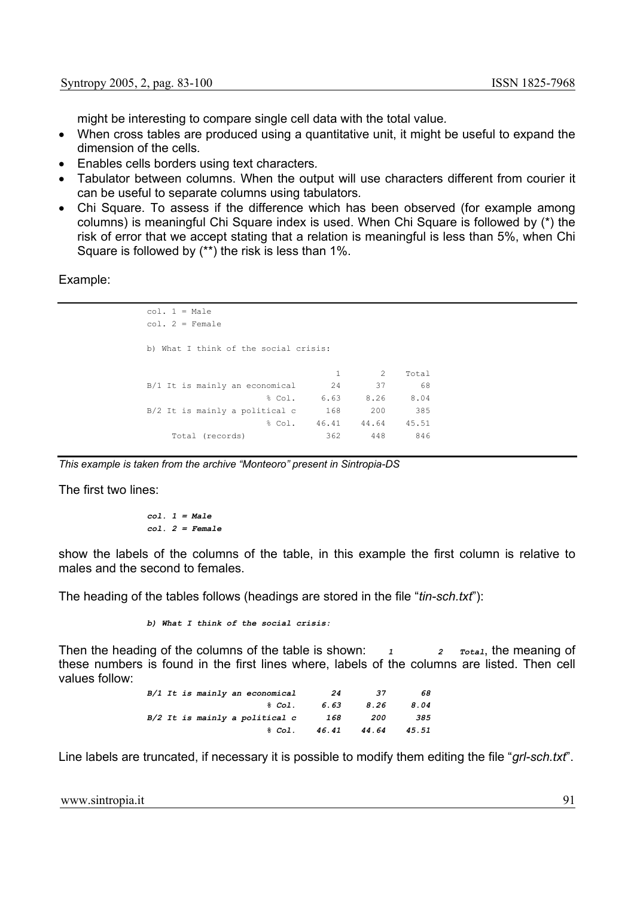might be interesting to compare single cell data with the total value*.*

- When cross tables are produced using a quantitative unit, it might be useful to expand the dimension of the cells*.*
- Enables cells borders using text characters*.*
- Tabulator between columns. When the output will use characters different from courier it can be useful to separate columns using tabulators*.*
- Chi Square. To assess if the difference which has been observed (for example among columns) is meaningful Chi Square index is used. When Chi Square is followed by (\*) the risk of error that we accept stating that a relation is meaningful is less than 5%, when Chi Square is followed by (\*\*) the risk is less than 1%.

Example:

```
col. 1 = Male 
col. 2 = Female 
b) What I think of the social crisis: 
                          1 2 Total<br>24 37 68
B/1 It is mainly an economical 24 37 68
               % Col. 6.63 8.26 8.04 
B/2 It is mainly a political c 168 200 385
                  % Col. 46.41 44.64 45.51 
   Total (records) 362 448 846
```
*This example is taken from the archive "Monteoro" present in Sintropia-DS* 

The first two lines:

$$
col. 1 = Male
$$
  

$$
col. 2 = Female
$$

show the labels of the columns of the table, in this example the first column is relative to males and the second to females.

The heading of the tables follows (headings are stored in the file "*tin-sch.txt*"):

*b) What I think of the social crisis:* 

Then the heading of the columns of the table is shown:  $1 \t 2 \t \text{Total}$ , the meaning of these numbers is found in the first lines where, labels of the columns are listed. Then cell values follow:

|  | B/1 It is mainly an economical | 24    | 37    | 68    |
|--|--------------------------------|-------|-------|-------|
|  | $&$ Col.                       | 6.63  | 8.26  | 8.04  |
|  | B/2 It is mainly a political c | 168   | 200   | 385   |
|  | &co1.                          | 46.41 | 44.64 | 45.51 |

Line labels are truncated, if necessary it is possible to modify them editing the file "*grl-sch.txt*".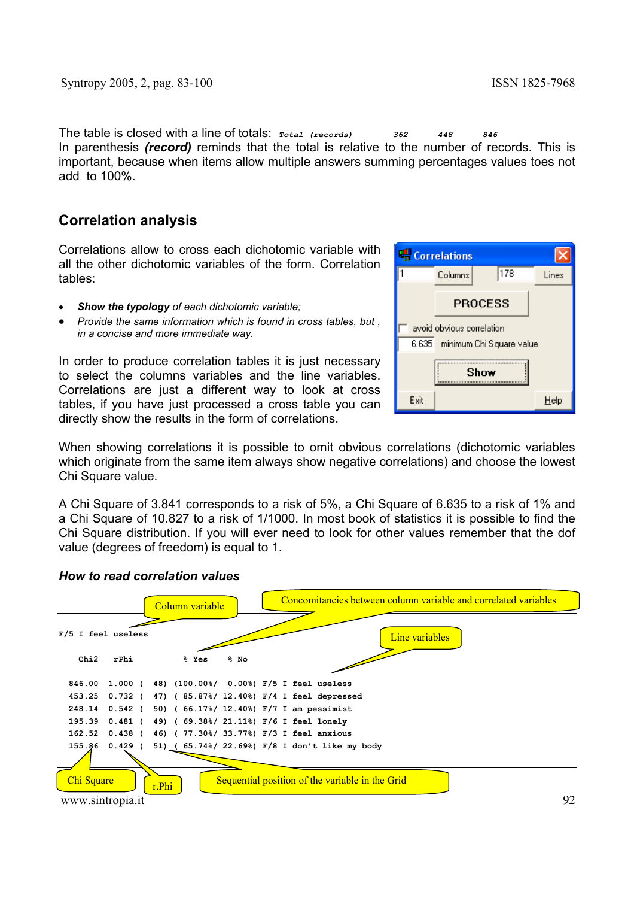The table is closed with a line of totals: *Total (records) 362 448 846*  In parenthesis *(record)* reminds that the total is relative to the number of records. This is important, because when items allow multiple answers summing percentages values toes not add to 100%.

### **Correlation analysis**

Correlations allow to cross each dichotomic variable with all the other dichotomic variables of the form. Correlation tables:

- *Show the typology of each dichotomic variable;*
- *Provide the same information which is found in cross tables, but , in a concise and more immediate way.*

In order to produce correlation tables it is just necessary to select the columns variables and the line variables. Correlations are just a different way to look at cross tables, if you have just processed a cross table you can directly show the results in the form of correlations.



When showing correlations it is possible to omit obvious correlations (dichotomic variables which originate from the same item always show negative correlations) and choose the lowest Chi Square value.

A Chi Square of 3.841 corresponds to a risk of 5%, a Chi Square of 6.635 to a risk of 1% and a Chi Square of 10.827 to a risk of 1/1000. In most book of statistics it is possible to find the Chi Square distribution. If you will ever need to look for other values remember that the dof value (degrees of freedom) is equal to 1.



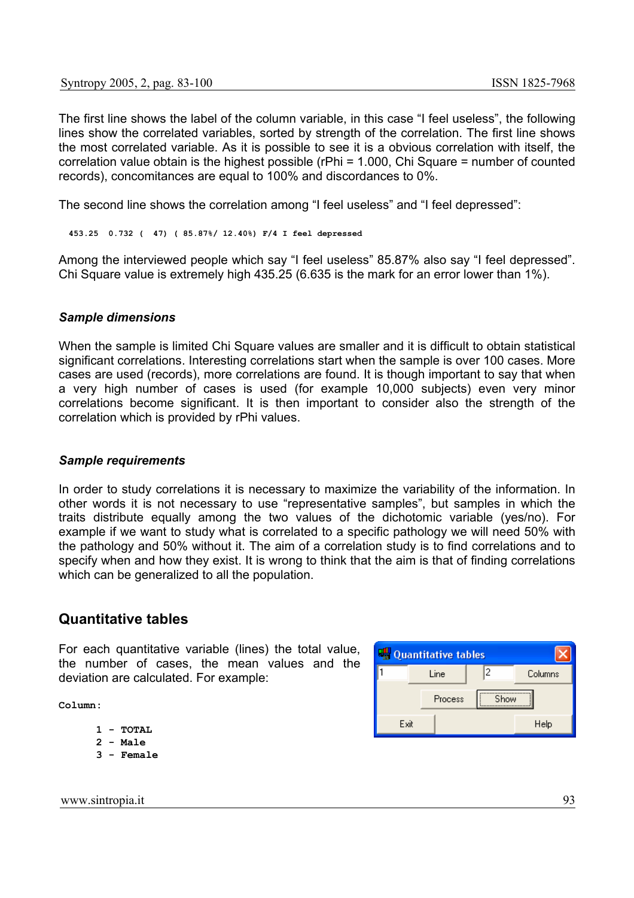The first line shows the label of the column variable, in this case "I feel useless", the following lines show the correlated variables, sorted by strength of the correlation. The first line shows the most correlated variable. As it is possible to see it is a obvious correlation with itself, the correlation value obtain is the highest possible (rPhi = 1.000, Chi Square = number of counted records), concomitances are equal to 100% and discordances to 0%.

The second line shows the correlation among "I feel useless" and "I feel depressed":

 **453.25 0.732 ( 47) ( 85.87%/ 12.40%) F/4 I feel depressed** 

Among the interviewed people which say "I feel useless" 85.87% also say "I feel depressed". Chi Square value is extremely high 435.25 (6.635 is the mark for an error lower than 1%).

#### *Sample dimensions*

When the sample is limited Chi Square values are smaller and it is difficult to obtain statistical significant correlations. Interesting correlations start when the sample is over 100 cases. More cases are used (records), more correlations are found. It is though important to say that when a very high number of cases is used (for example 10,000 subjects) even very minor correlations become significant. It is then important to consider also the strength of the correlation which is provided by rPhi values.

#### *Sample requirements*

In order to study correlations it is necessary to maximize the variability of the information. In other words it is not necessary to use "representative samples", but samples in which the traits distribute equally among the two values of the dichotomic variable (yes/no). For example if we want to study what is correlated to a specific pathology we will need 50% with the pathology and 50% without it. The aim of a correlation study is to find correlations and to specify when and how they exist. It is wrong to think that the aim is that of finding correlations which can be generalized to all the population.

### **Quantitative tables**

For each quantitative variable (lines) the total value, the number of cases, the mean values and the deviation are calculated. For example:

**Column:** 

- **1 TOTAL**
- **2 Male**
- **3 Female**

Quantitative tables  $\overline{\mathsf{x}}$  $\overline{2}$ l1 Line Columns Show Process Exit Help

www.sintropia.it 93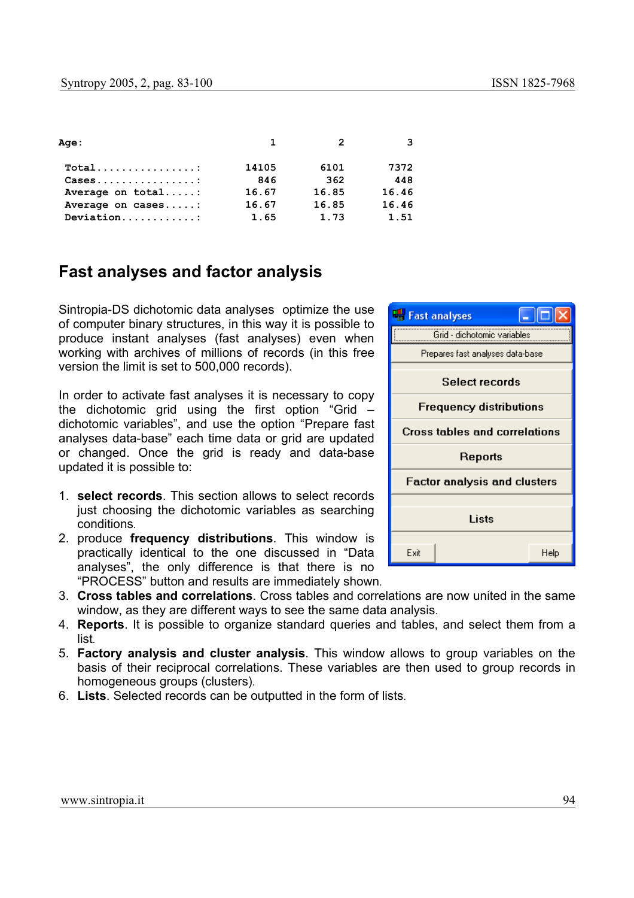| <b>Age :</b>                                         | $\mathbf{1}$ | $\mathcal{P}$ | 3     |
|------------------------------------------------------|--------------|---------------|-------|
| $Total$                                              | 14105        | 6101          | 7372  |
| $\texttt{Cases} \dots \dots \dots \dots \dots \dots$ | 846          | 362           | 448   |
| Average on total:                                    | 16.67        | 16.85         | 16.46 |
| Average on cases:                                    | 16.67        | 16.85         | 16.46 |
| Deviation                                            | 1.65         | 1.73          | 1.51  |

# **Fast analyses and factor analysis**

Sintropia-DS dichotomic data analyses optimize the use of computer binary structures, in this way it is possible to produce instant analyses (fast analyses) even when working with archives of millions of records (in this free version the limit is set to 500,000 records).

In order to activate fast analyses it is necessary to copy the dichotomic grid using the first option "Grid – dichotomic variables", and use the option "Prepare fast analyses data-base" each time data or grid are updated or changed. Once the grid is ready and data-base updated it is possible to:

- 1. **select records**. This section allows to select records just choosing the dichotomic variables as searching conditions*.*
- 2. produce **frequency distributions**. This window is practically identical to the one discussed in "Data analyses", the only difference is that there is no "PROCESS" button and results are immediately shown*.*
- 3. **Cross tables and correlations**. Cross tables and correlations are now united in the same window, as they are different ways to see the same data analysis*.*
- 4. **Reports**. It is possible to organize standard queries and tables, and select them from a list*.*
- 5. **Factory analysis and cluster analysis**. This window allows to group variables on the basis of their reciprocal correlations. These variables are then used to group records in homogeneous groups (clusters)*.*
- 6. **Lists**. Selected records can be outputted in the form of lists*.*

![](_page_11_Picture_12.jpeg)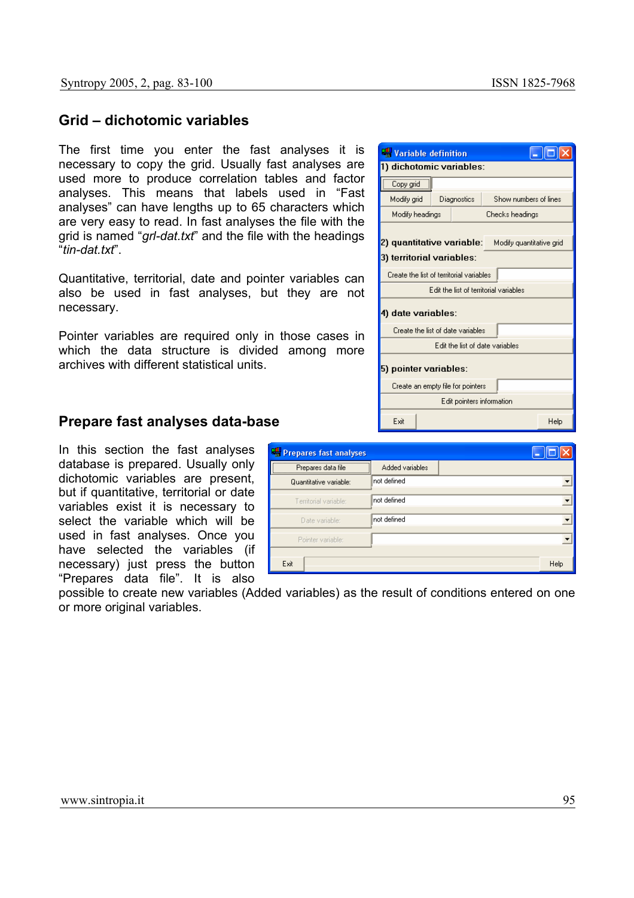### **Grid – dichotomic variables**

The first time you enter the fast analyses it is necessary to copy the grid. Usually fast analyses are used more to produce correlation tables and factor analyses. This means that labels used in "Fast analyses" can have lengths up to 65 characters which are very easy to read. In fast analyses the file with the grid is named "*grl-dat.txt*" and the file with the headings "*tin-dat.txt*".

Quantitative, territorial, date and pointer variables can also be used in fast analyses, but they are not necessary.

Pointer variables are required only in those cases in which the data structure is divided among more archives with different statistical units.

| Variable definition                                                                  |                                          |                       |      |
|--------------------------------------------------------------------------------------|------------------------------------------|-----------------------|------|
|                                                                                      | 1) dichotomic variables:                 |                       |      |
| Copy grid                                                                            |                                          |                       |      |
| Modify grid                                                                          | Diagnostics                              | Show numbers of lines |      |
| Modify headings                                                                      |                                          | Checks headings       |      |
| 2) quantitative variable: _<br>Modify quantitative grid<br>3) territorial variables: |                                          |                       |      |
|                                                                                      | Create the list of territorial variables |                       |      |
| Edit the list of territorial variables                                               |                                          |                       |      |
| 4) date variables:                                                                   |                                          |                       |      |
| Create the list of date variables                                                    |                                          |                       |      |
| Edit the list of date variables                                                      |                                          |                       |      |
| 5) pointer variables:                                                                |                                          |                       |      |
| Create an empty file for pointers                                                    |                                          |                       |      |
| Edit pointers information                                                            |                                          |                       |      |
| Exit                                                                                 |                                          |                       | Help |

### **Prepare fast analyses data-base**

In this section the fast analyses database is prepared. Usually only dichotomic variables are present, but if quantitative, territorial or date variables exist it is necessary to select the variable which will be used in fast analyses. Once you have selected the variables (if necessary) just press the button "Prepares data file". It is also

| Prepares fast analyses |                 |      |
|------------------------|-----------------|------|
| Prepares data file     | Added variables |      |
| Quantitative variable: | Inot defined    |      |
| Territorial variable:  | not defined     |      |
| Date variable:         | not defined     |      |
| Pointer variable:      |                 |      |
| Exit                   |                 | Help |

possible to create new variables (Added variables) as the result of conditions entered on one or more original variables.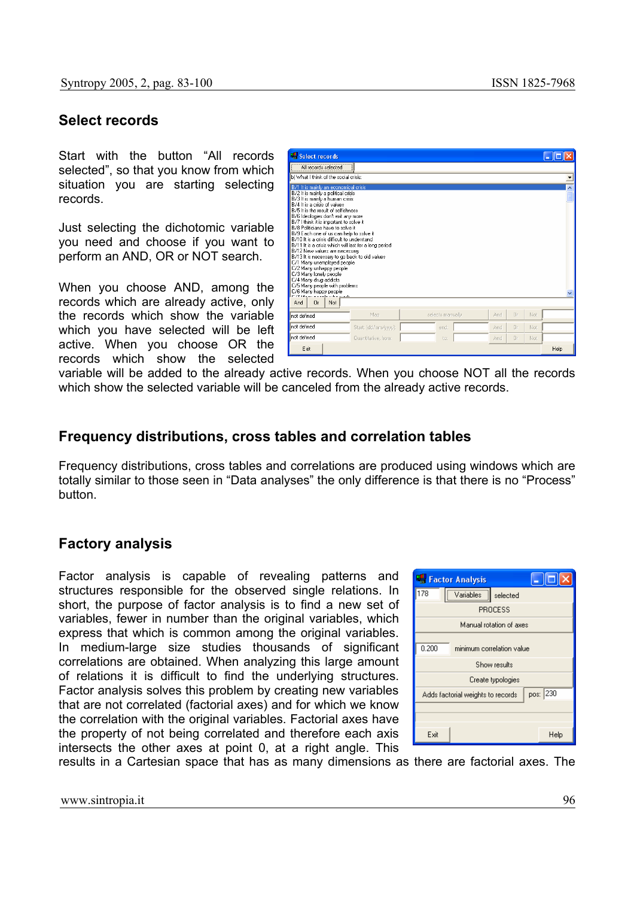### **Select records**

Start with the button "All records selected", so that you know from which situation you are starting selecting records.

Just selecting the dichotomic variable you need and choose if you want to perform an AND, OR or NOT search.

When you choose AND, among the records which are already active, only the records which show the variable which you have selected will be left active. When you choose OR the records which show the selected

| Select records<br>All records selected<br>b) What I think of the social crisis:                                                                                                                                                                                                                                                                                                                                                                                                                                                                                                                                                                                                                                                             |                      |                  |     |                |     |      |
|---------------------------------------------------------------------------------------------------------------------------------------------------------------------------------------------------------------------------------------------------------------------------------------------------------------------------------------------------------------------------------------------------------------------------------------------------------------------------------------------------------------------------------------------------------------------------------------------------------------------------------------------------------------------------------------------------------------------------------------------|----------------------|------------------|-----|----------------|-----|------|
| B/1 It is mainly an economical crisis<br>B/2 It is mainly a political crisis<br>B/3 It is mainly a human crisis<br>B/4 It is a crisis of values<br>B/5 It is the result of selfishness<br>B/6 Ideologies don't exit any more<br>B/7 I think it is important to solve it<br>B/8 Politicians have to solve it<br>B/9 Each one of us can help to solve it<br>B/10 It is a crisis difficult to understand<br>B/11 It is a crisis which will last for a long period<br>B/12 New values are necessary<br>B/13 It is necessary to go back to old values<br>C/1 Many unemployed people<br>C/2 Many unhappy people<br>C/3 Many lonely people<br>C/4 Many drug-addicts<br>C/5 Many people with problems<br>C/6 Many happy people<br>0r<br>Not.<br>And |                      |                  |     |                |     |      |
| not defined                                                                                                                                                                                                                                                                                                                                                                                                                                                                                                                                                                                                                                                                                                                                 | Map                  | selects manually | And | 0r             | Not |      |
| not defined                                                                                                                                                                                                                                                                                                                                                                                                                                                                                                                                                                                                                                                                                                                                 | Start: (dd/mm/yyyy): | end:             | And | n <sub>r</sub> | Not |      |
| not defined                                                                                                                                                                                                                                                                                                                                                                                                                                                                                                                                                                                                                                                                                                                                 | Quantitative, from:  | to:              | And | 0r             | Not |      |
| Exit                                                                                                                                                                                                                                                                                                                                                                                                                                                                                                                                                                                                                                                                                                                                        |                      |                  |     |                |     | Help |

variable will be added to the already active records. When you choose NOT all the records which show the selected variable will be canceled from the already active records.

### **Frequency distributions, cross tables and correlation tables**

Frequency distributions, cross tables and correlations are produced using windows which are totally similar to those seen in "Data analyses" the only difference is that there is no "Process" button.

## **Factory analysis**

Factor analysis is capable of revealing patterns and structures responsible for the observed single relations. In short, the purpose of factor analysis is to find a new set of variables, fewer in number than the original variables, which express that which is common among the original variables. In medium-large size studies thousands of significant correlations are obtained. When analyzing this large amount of relations it is difficult to find the underlying structures. Factor analysis solves this problem by creating new variables that are not correlated (factorial axes) and for which we know the correlation with the original variables. Factorial axes have the property of not being correlated and therefore each axis intersects the other axes at point 0, at a right angle. This

![](_page_13_Picture_12.jpeg)

results in a Cartesian space that has as many dimensions as there are factorial axes. The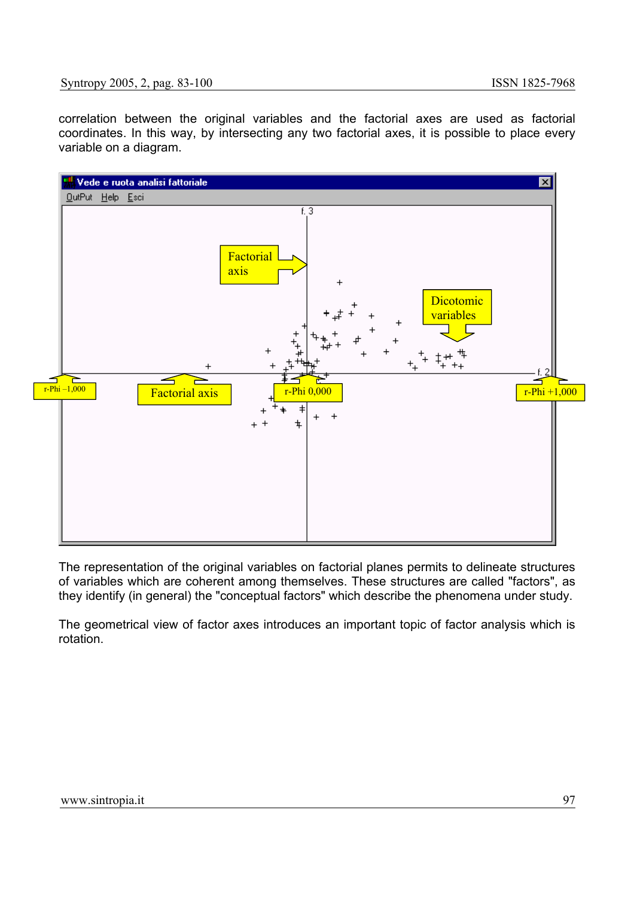#### Syntropy 2005, 2, pag. 83-100 ISSN 1825-7968

correlation between the original variables and the factorial axes are used as factorial coordinates. In this way, by intersecting any two factorial axes, it is possible to place every variable on a diagram.

![](_page_14_Figure_3.jpeg)

The representation of the original variables on factorial planes permits to delineate structures of variables which are coherent among themselves. These structures are called "factors", as they identify (in general) the "conceptual factors" which describe the phenomena under study.

The geometrical view of factor axes introduces an important topic of factor analysis which is rotation.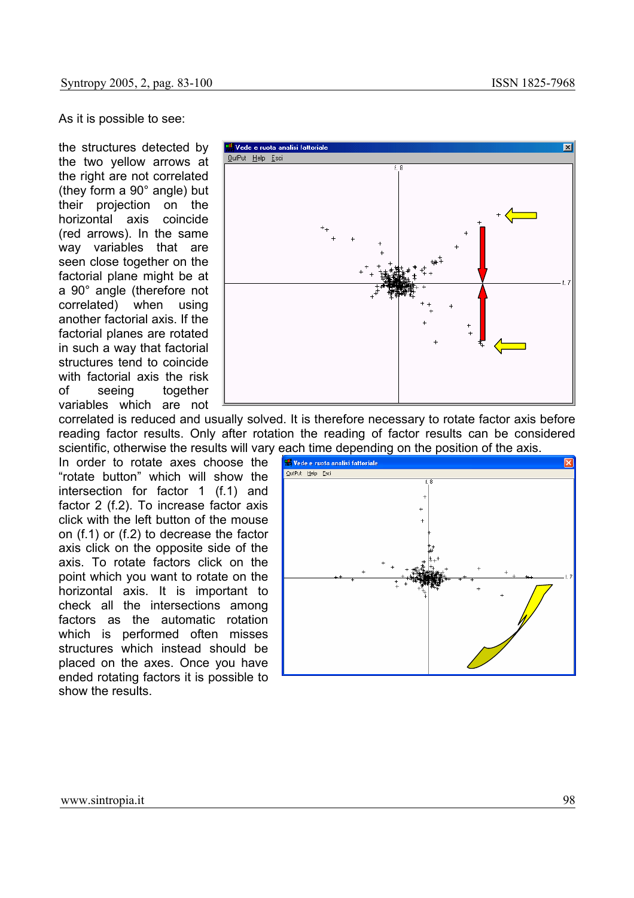As it is possible to see:

the structures detected by the two yellow arrows at the right are not correlated (they form a 90° angle) but their projection on the horizontal axis coincide (red arrows). In the same way variables that are seen close together on the factorial plane might be at a 90° angle (therefore not correlated) when using another factorial axis. If the factorial planes are rotated in such a way that factorial structures tend to coincide with factorial axis the risk of seeing together variables which are not

![](_page_15_Figure_4.jpeg)

correlated is reduced and usually solved. It is therefore necessary to rotate factor axis before reading factor results. Only after rotation the reading of factor results can be considered

In order to rotate axes choose the "rotate button" which will show the intersection for factor 1 (f.1) and factor 2 (f.2). To increase factor axis click with the left button of the mouse on (f.1) or (f.2) to decrease the factor axis click on the opposite side of the axis. To rotate factors click on the point which you want to rotate on the horizontal axis. It is important to check all the intersections among factors as the automatic rotation which is performed often misses structures which instead should be placed on the axes. Once you have ended rotating factors it is possible to show the results.

![](_page_15_Figure_7.jpeg)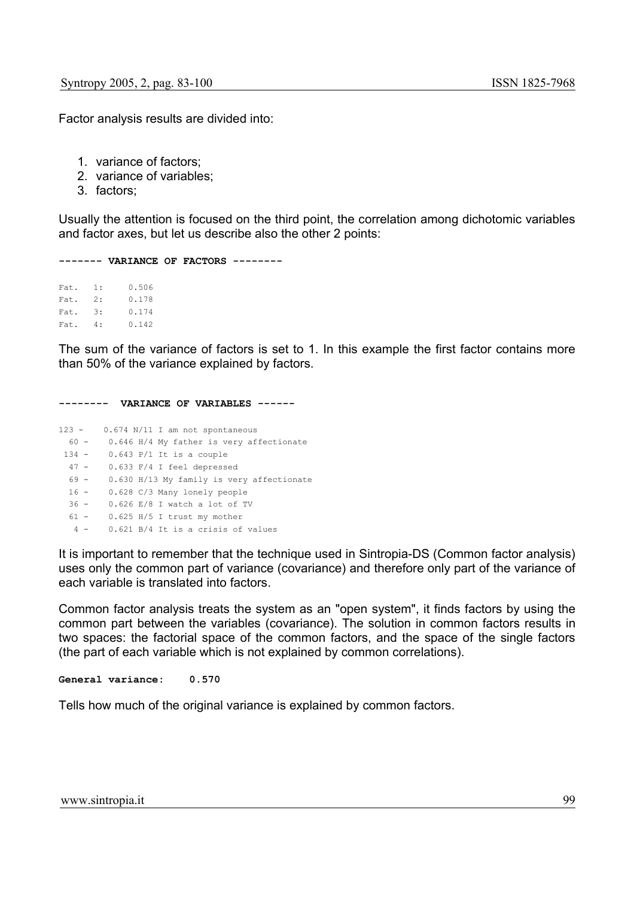Factor analysis results are divided into:

- 1. variance of factors;
- 2. variance of variables;
- 3. factors;

Usually the attention is focused on the third point, the correlation among dichotomic variables and factor axes, but let us describe also the other 2 points:

**------- VARIANCE OF FACTORS --------** 

Fat. 1: 0.506 Fat. 2: 0.178 Fat. 3: 0.174 Fat. 4: 0.142

The sum of the variance of factors is set to 1. In this example the first factor contains more than 50% of the variance explained by factors.

**-------- VARIANCE OF VARIABLES ------**  123 - 0.674 N/11 I am not spontaneous 60 - 0.646 H/4 My father is very affectionate 134 - 0.643 P/1 It is a couple 47 - 0.633 F/4 I feel depressed 69 - 0.630 H/13 My family is very affectionate 16 - 0.628 C/3 Many lonely people 36 - 0.626 E/8 I watch a lot of TV 61 - 0.625 H/5 I trust my mother 4 - 0.621 B/4 It is a crisis of values

It is important to remember that the technique used in Sintropia-DS (Common factor analysis) uses only the common part of variance (covariance) and therefore only part of the variance of each variable is translated into factors.

Common factor analysis treats the system as an "open system", it finds factors by using the common part between the variables (covariance). The solution in common factors results in two spaces: the factorial space of the common factors, and the space of the single factors (the part of each variable which is not explained by common correlations).

**General variance: 0.570** 

Tells how much of the original variance is explained by common factors.